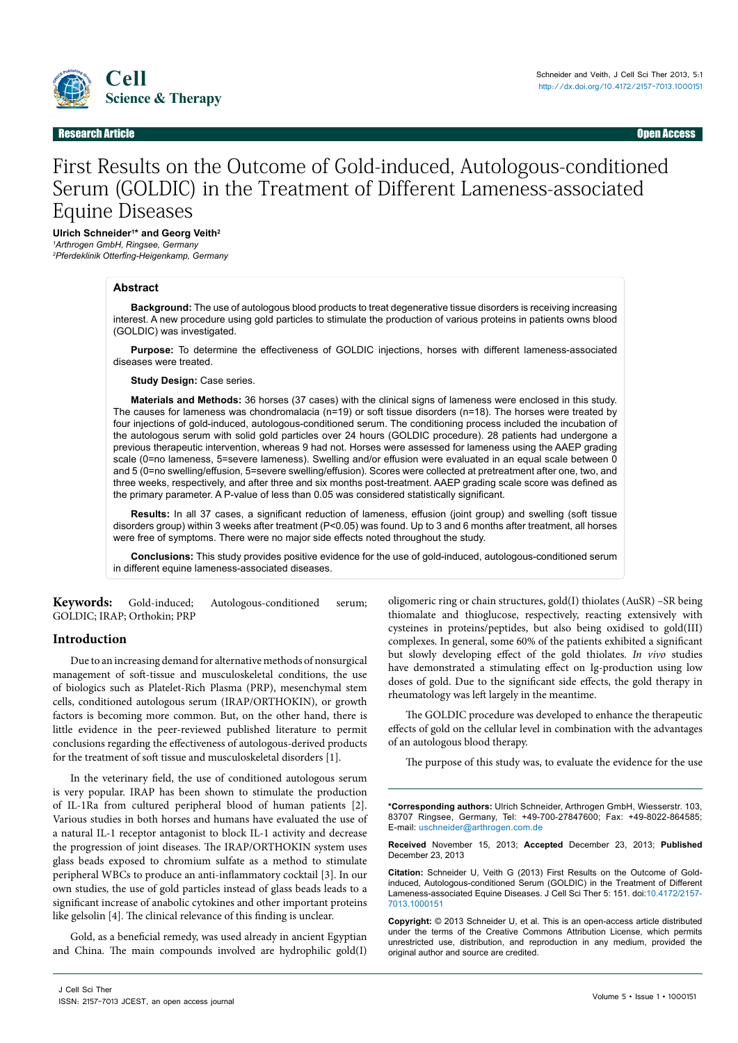

## Research Article Open Access

# First Results on the Outcome of Gold-induced, Autologous-conditioned Serum (GOLDIC) in the Treatment of Different Lameness-associated Equine Diseases

**Ulrich Schneider1 \* and Georg Veith2**

*1 Arthrogen GmbH, Ringsee, Germany 2 Pferdeklinik Otterfing-Heigenkamp, Germany*

#### **Abstract**

**Background:** The use of autologous blood products to treat degenerative tissue disorders is receiving increasing interest. A new procedure using gold particles to stimulate the production of various proteins in patients owns blood (GOLDIC) was investigated.

**Purpose:** To determine the effectiveness of GOLDIC injections, horses with different lameness-associated diseases were treated.

**Study Design:** Case series.

**Materials and Methods:** 36 horses (37 cases) with the clinical signs of lameness were enclosed in this study. The causes for lameness was chondromalacia (n=19) or soft tissue disorders (n=18). The horses were treated by four injections of gold-induced, autologous-conditioned serum. The conditioning process included the incubation of the autologous serum with solid gold particles over 24 hours (GOLDIC procedure). 28 patients had undergone a previous therapeutic intervention, whereas 9 had not. Horses were assessed for lameness using the AAEP grading scale (0=no lameness, 5=severe lameness). Swelling and/or effusion were evaluated in an equal scale between 0 and 5 (0=no swelling/effusion, 5=severe swelling/effusion). Scores were collected at pretreatment after one, two, and three weeks, respectively, and after three and six months post-treatment. AAEP grading scale score was defined as the primary parameter. A P-value of less than 0.05 was considered statistically significant.

**Results:** In all 37 cases, a significant reduction of lameness, effusion (joint group) and swelling (soft tissue disorders group) within 3 weeks after treatment (P<0.05) was found. Up to 3 and 6 months after treatment, all horses were free of symptoms. There were no major side effects noted throughout the study.

**Conclusions:** This study provides positive evidence for the use of gold-induced, autologous-conditioned serum in different equine lameness-associated diseases.

**Keywords:** Gold-induced; Autologous-conditioned serum; GOLDIC; IRAP; Orthokin; PRP

## **Introduction**

Due to an increasing demand for alternative methods of nonsurgical management of soft-tissue and musculoskeletal conditions, the use of biologics such as Platelet-Rich Plasma (PRP), mesenchymal stem cells, conditioned autologous serum (IRAP/ORTHOKIN), or growth factors is becoming more common. But, on the other hand, there is little evidence in the peer-reviewed published literature to permit conclusions regarding the effectiveness of autologous-derived products for the treatment of soft tissue and musculoskeletal disorders [1].

In the veterinary field, the use of conditioned autologous serum is very popular. IRAP has been shown to stimulate the production of IL-1Ra from cultured peripheral blood of human patients [2]. Various studies in both horses and humans have evaluated the use of a natural IL-1 receptor antagonist to block IL-1 activity and decrease the progression of joint diseases. The IRAP/ORTHOKIN system uses glass beads exposed to chromium sulfate as a method to stimulate peripheral WBCs to produce an anti-inflammatory cocktail [3]. In our own studies, the use of gold particles instead of glass beads leads to a significant increase of anabolic cytokines and other important proteins like gelsolin [4]. The clinical relevance of this finding is unclear.

Gold, as a beneficial remedy, was used already in ancient Egyptian and China. The main compounds involved are hydrophilic gold(I)

oligomeric ring or chain structures, gold(I) thiolates (AuSR) –SR being thiomalate and thioglucose, respectively, reacting extensively with cysteines in proteins/peptides, but also being oxidised to gold(III) complexes. In general, some 60% of the patients exhibited a significant but slowly developing effect of the gold thiolates. *In vivo* studies have demonstrated a stimulating effect on Ig-production using low doses of gold. Due to the significant side effects, the gold therapy in rheumatology was left largely in the meantime.

The GOLDIC procedure was developed to enhance the therapeutic effects of gold on the cellular level in combination with the advantages of an autologous blood therapy.

The purpose of this study was, to evaluate the evidence for the use

**\*Corresponding authors:** Ulrich Schneider, Arthrogen GmbH, Wiesserstr. 103, 83707 Ringsee, Germany, Tel: +49-700-27847600; Fax: +49-8022-864585; E-mail: uschneider@arthrogen.com.de

**Received** November 15, 2013; **Accepted** December 23, 2013; **Published** December 23, 2013

**Citation:** Schneider U, Veith G (2013) First Results on the Outcome of Goldinduced, Autologous-conditioned Serum (GOLDIC) in the Treatment of Different Lameness-associated Equine Diseases. J Cell Sci Ther 5: 151. doi:[10.4172/2157-](http://dx.doi.org/10.4172/2157-7013.1000151) [7013.1000](http://dx.doi.org/10.4172/2157-7013.1000151)151

**Copyright:** © 2013 Schneider U, et al. This is an open-access article distributed under the terms of the Creative Commons Attribution License, which permits unrestricted use, distribution, and reproduction in any medium, provided the original author and source are credited.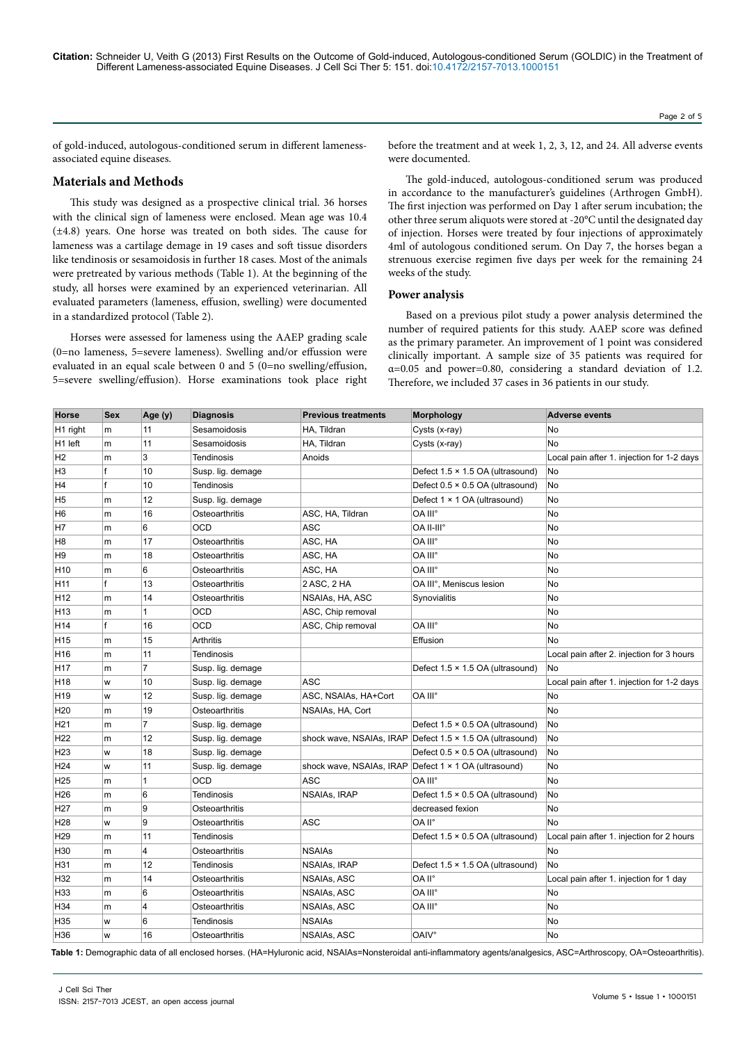of gold-induced, autologous-conditioned serum in different lamenessassociated equine diseases.

# **Materials and Methods**

This study was designed as a prospective clinical trial. 36 horses with the clinical sign of lameness were enclosed. Mean age was 10.4 (±4.8) years. One horse was treated on both sides. The cause for lameness was a cartilage demage in 19 cases and soft tissue disorders like tendinosis or sesamoidosis in further 18 cases. Most of the animals were pretreated by various methods (Table 1). At the beginning of the study, all horses were examined by an experienced veterinarian. All evaluated parameters (lameness, effusion, swelling) were documented in a standardized protocol (Table 2).

Horses were assessed for lameness using the AAEP grading scale (0=no lameness, 5=severe lameness). Swelling and/or effussion were evaluated in an equal scale between 0 and 5 (0=no swelling/effusion, 5=severe swelling/effusion). Horse examinations took place right before the treatment and at week 1, 2, 3, 12, and 24. All adverse events were documented.

The gold-induced, autologous-conditioned serum was produced in accordance to the manufacturer's guidelines (Arthrogen GmbH). The first injection was performed on Day 1 after serum incubation; the other three serum aliquots were stored at -20°C until the designated day of injection. Horses were treated by four injections of approximately 4ml of autologous conditioned serum. On Day 7, the horses began a strenuous exercise regimen five days per week for the remaining 24 weeks of the study.

#### **Power analysis**

Based on a previous pilot study a power analysis determined the number of required patients for this study. AAEP score was defined as the primary parameter. An improvement of 1 point was considered clinically important. A sample size of 35 patients was required for α=0.05 and power=0.80, considering a standard deviation of 1.2. Therefore, we included 37 cases in 36 patients in our study.

| Horse               | <b>Sex</b>   | Age (y)        | <b>Diagnosis</b>  | <b>Previous treatments</b> | <b>Morphology</b>                                         | <b>Adverse events</b>                      |
|---------------------|--------------|----------------|-------------------|----------------------------|-----------------------------------------------------------|--------------------------------------------|
| H1 right            | m            | 11             | Sesamoidosis      | HA, Tildran                | Cysts (x-ray)                                             | No.                                        |
| H <sub>1</sub> left | m            | 11             | Sesamoidosis      | HA, Tildran                | Cysts (x-ray)                                             | No                                         |
| H <sub>2</sub>      | m            | 3              | Tendinosis        | Anoids                     |                                                           | Local pain after 1. injection for 1-2 days |
| H <sub>3</sub>      | f            | 10             | Susp. lig. demage |                            | Defect 1.5 × 1.5 OA (ultrasound)                          | No                                         |
| H4                  | f            | 10             | Tendinosis        |                            | Defect 0.5 × 0.5 OA (ultrasound)                          | No                                         |
| H <sub>5</sub>      | m            | 12             | Susp. lig. demage |                            | Defect 1 × 1 OA (ultrasound)                              | No                                         |
| H <sub>6</sub>      | $\mathsf{m}$ | 16             | Osteoarthritis    | ASC, HA, Tildran           | OA III°                                                   | No                                         |
| H7                  | m            | 6              | OCD               | ASC                        | OA II-III°                                                | No                                         |
| H <sub>8</sub>      | m            | 17             | Osteoarthritis    | ASC, HA                    | OA III°                                                   | No                                         |
| H <sub>9</sub>      | m            | 18             | Osteoarthritis    | ASC, HA                    | OA III°                                                   | No                                         |
| H <sub>10</sub>     | m            | 6              | Osteoarthritis    | ASC, HA                    | OA III°                                                   | No                                         |
| H11                 | f            | 13             | Osteoarthritis    | 2 ASC, 2 HA                | OA III°, Meniscus lesion                                  | No                                         |
| H12                 | m            | 14             | Osteoarthritis    | NSAIAs, HA, ASC            | Synovialitis                                              | No                                         |
| H13                 | m            | 1              | OCD               | ASC, Chip removal          |                                                           | No                                         |
| H14                 | $\mathsf{f}$ | 16             | OCD               | ASC, Chip removal          | OA III°                                                   | <b>No</b>                                  |
| H <sub>15</sub>     | m            | 15             | <b>Arthritis</b>  |                            | Effusion                                                  | No                                         |
| H16                 | m            | 11             | Tendinosis        |                            |                                                           | Local pain after 2. injection for 3 hours  |
| H17                 | $\mathsf{m}$ | $\overline{7}$ | Susp. lig. demage |                            | Defect 1.5 × 1.5 OA (ultrasound)                          | No                                         |
| H <sub>18</sub>     | W            | 10             | Susp. lig. demage | ASC                        |                                                           | Local pain after 1. injection for 1-2 days |
| H19                 | W            | 12             | Susp. lig. demage | ASC, NSAIAs, HA+Cort       | OA III°                                                   | No                                         |
| H <sub>20</sub>     | $\mathsf{m}$ | 19             | Osteoarthritis    | NSAIAs, HA, Cort           |                                                           | <b>No</b>                                  |
| H <sub>21</sub>     | $\mathsf{m}$ | $\overline{7}$ | Susp. lig. demage |                            | Defect 1.5 × 0.5 OA (ultrasound)                          | <b>No</b>                                  |
| H <sub>22</sub>     | m            | 12             | Susp. lig. demage |                            | shock wave, NSAIAs, IRAP Defect 1.5 x 1.5 OA (ultrasound) | No                                         |
| H <sub>23</sub>     | W            | 18             | Susp. lig. demage |                            | Defect $0.5 \times 0.5$ OA (ultrasound)                   | No                                         |
| H <sub>24</sub>     | W            | 11             | Susp. lig. demage |                            | shock wave, NSAIAs, IRAP Defect 1 × 1 OA (ultrasound)     | No                                         |
| H <sub>25</sub>     | $\mathsf{m}$ | 1              | OCD               | <b>ASC</b>                 | OA III°                                                   | No                                         |
| H <sub>26</sub>     | $\mathsf{m}$ | 6              | <b>Tendinosis</b> | NSAIAs, IRAP               | Defect 1.5 × 0.5 OA (ultrasound)                          | No                                         |
| H <sub>27</sub>     | m            | g              | Osteoarthritis    |                            | decreased fexion                                          | No                                         |
| H <sub>28</sub>     | W            | 9              | Osteoarthritis    | ASC                        | OA II°                                                    | No                                         |
| H <sub>29</sub>     | m            | 11             | Tendinosis        |                            | Defect 1.5 × 0.5 OA (ultrasound)                          | Local pain after 1. injection for 2 hours  |
| H30                 | $\mathsf{m}$ | 4              | Osteoarthritis    | <b>NSAIAs</b>              |                                                           | No                                         |
| H31                 | $\mathsf{m}$ | 12             | <b>Tendinosis</b> | NSAIAs, IRAP               | Defect 1.5 × 1.5 OA (ultrasound)                          | No                                         |
| H32                 | m            | 14             | Osteoarthritis    | NSAIAs, ASC                | OA II°                                                    | Local pain after 1. injection for 1 day    |
| H33                 | m            | 6              | Osteoarthritis    | NSAIAs, ASC                | OA III°                                                   | No                                         |
| H34                 | m            | 4              | Osteoarthritis    | <b>NSAIAs, ASC</b>         | OA III°                                                   | No                                         |
| H35                 | W            | 6              | Tendinosis        | <b>NSAIAs</b>              |                                                           | No                                         |
| H36                 | W            | 16             | Osteoarthritis    | <b>NSAIAs, ASC</b>         | <b>OAIV°</b>                                              | No                                         |

**Table 1:** Demographic data of all enclosed horses. (HA=Hyluronic acid, NSAIAs=Nonsteroidal anti-inflammatory agents/analgesics, ASC=Arthroscopy, OA=Osteoarthritis).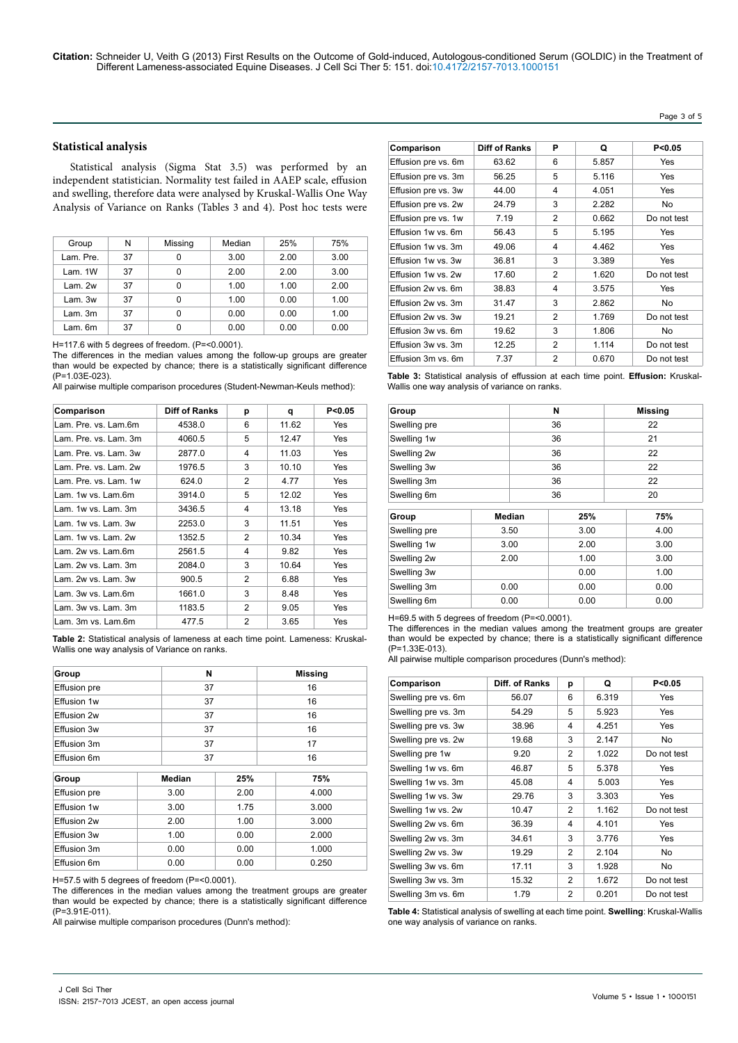## **Statistical analysis**

Statistical analysis (Sigma Stat 3.5) was performed by an independent statistician. Normality test failed in AAEP scale, effusion and swelling, therefore data were analysed by Kruskal-Wallis One Way Analysis of Variance on Ranks (Tables 3 and 4). Post hoc tests were

| Group     | N  | Missing | Median | 25%  | 75%  |
|-----------|----|---------|--------|------|------|
| Lam. Pre. | 37 | 0       | 3.00   | 2.00 | 3.00 |
| Lam. 1W   | 37 | 0       | 2.00   | 2.00 | 3.00 |
| Lam. 2w   | 37 | 0       | 1.00   | 1.00 | 2.00 |
| Lam. 3w   | 37 | 0       | 1.00   | 0.00 | 1.00 |
| Lam.3m    | 37 | 0       | 0.00   | 0.00 | 1.00 |
| Lam. 6m   | 37 | 0       | 0.00   | 0.00 | 0.00 |

H=117.6 with 5 degrees of freedom. (P=<0.0001).

The differences in the median values among the follow-up groups are greater than would be expected by chance; there is a statistically significant difference (P=1.03E-023).

All pairwise multiple comparison procedures (Student-Newman-Keuls method):

| Comparison            | <b>Diff of Ranks</b> | р | q     | P<0.05     |
|-----------------------|----------------------|---|-------|------------|
| Lam. Pre. vs. Lam.6m  | 4538.0               | 6 | 11.62 | Yes        |
| Lam. Pre. vs. Lam. 3m | 4060.5               | 5 | 12.47 | Yes        |
| Lam. Pre. vs. Lam. 3w | 2877.0               | 4 | 11.03 | Yes        |
| Lam. Pre. vs. Lam. 2w | 1976.5               | 3 | 10.10 | Yes        |
| I am Pre vs I am 1w   | 624.0                | 2 | 4.77  | Yes        |
| Lam. 1w vs. Lam.6m    | 3914.0               | 5 | 12.02 | Yes        |
| Lam. 1w vs. Lam. 3m   | 3436.5               | 4 | 13.18 | Yes        |
| Lam. 1w vs. Lam. 3w   | 2253.0               | 3 | 11.51 | Yes        |
| Lam. 1w vs. Lam. 2w   | 1352.5               | 2 | 10.34 | <b>Yes</b> |
| Lam. 2w vs. Lam.6m    | 2561.5               | 4 | 9.82  | Yes        |
| Lam. 2w vs. Lam. 3m   | 2084.0               | 3 | 10.64 | Yes        |
| Lam. 2w vs. Lam. 3w   | 900.5                | 2 | 6.88  | Yes        |
| Lam. 3w vs. Lam.6m    | 1661.0               | 3 | 8.48  | Yes        |
| Lam. 3w vs. Lam. 3m   | 1183.5               | 2 | 9.05  | Yes        |
| Lam. 3m vs. Lam.6m    | 477.5                | 2 | 3.65  | Yes        |

**Table 2:** Statistical analysis of lameness at each time point. Lameness: Kruskal-Wallis one way analysis of Variance on ranks.

| Group               | N  | <b>Missing</b> |
|---------------------|----|----------------|
| <b>Effusion</b> pre | 37 | 16             |
| Effusion 1w         | 37 | 16             |
| Effusion 2w         | 37 | 16             |
| Effusion 3w         | 37 | 16             |
| Effusion 3m         | 37 | 17             |
| Effusion 6m         | 37 | 16             |

| Group               | Median | 25%  | 75%   |  |
|---------------------|--------|------|-------|--|
| <b>Effusion</b> pre | 3.00   | 2.00 | 4.000 |  |
| Effusion 1w         | 3.00   | 1.75 | 3.000 |  |
| Effusion 2w         | 2.00   | 1.00 | 3.000 |  |
| Effusion 3w         | 1.00   | 0.00 | 2.000 |  |
| Effusion 3m         | 0.00   | 0.00 | 1.000 |  |
| Effusion 6m         | 0.00   | 0.00 | 0.250 |  |

H=57.5 with 5 degrees of freedom (P=<0.0001).

The differences in the median values among the treatment groups are greater than would be expected by chance; there is a statistically significant difference (P=3.91E-011).

All pairwise multiple comparison procedures (Dunn's method):

| Comparison          | <b>Diff of Ranks</b> | Р              | Q     | P < 0.05    |
|---------------------|----------------------|----------------|-------|-------------|
| Effusion pre vs. 6m | 63.62                | 6              | 5.857 | Yes         |
| Effusion pre vs. 3m | 56.25                | 5              | 5.116 | Yes         |
| Effusion pre vs. 3w | 44.00                | 4              | 4.051 | <b>Yes</b>  |
| Effusion pre vs. 2w | 24.79                | 3              | 2.282 | No.         |
| Effusion pre vs. 1w | 7.19                 | 2              | 0.662 | Do not test |
| Effusion 1w vs. 6m  | 56.43                | 5              | 5.195 | Yes         |
| Effusion 1w vs. 3m  | 49.06                | 4              | 4.462 | Yes         |
| Effusion 1w vs. 3w  | 36.81                | 3              | 3.389 | Yes         |
| Effusion 1w vs. 2w  | 17.60                | 2              | 1.620 | Do not test |
| Effusion 2w vs. 6m  | 38.83                | 4              | 3.575 | Yes         |
| Effusion 2w vs. 3m  | 31.47                | 3              | 2.862 | No.         |
| Effusion 2w vs. 3w  | 19.21                | 2              | 1.769 | Do not test |
| Effusion 3w vs. 6m  | 19.62                | 3              | 1.806 | No.         |
| Effusion 3w vs. 3m  | 12.25                | 2              | 1.114 | Do not test |
| Effusion 3m vs. 6m  | 7.37                 | $\overline{2}$ | 0.670 | Do not test |

Page 3 of 5

**Table 3:** Statistical analysis of effussion at each time point. **Effusion:** Kruskal-Wallis one way analysis of variance on ranks.

| Group               |      | N    | <b>Missing</b> |      |
|---------------------|------|------|----------------|------|
| Swelling pre        |      | 36   |                | 22   |
| Swelling 1w         |      | 36   |                | 21   |
| Swelling 2w         |      | 36   |                | 22   |
| Swelling 3w         |      | 36   |                | 22   |
| Swelling 3m         |      | 36   | 22             |      |
| Swelling 6m         |      | 36   | 20             |      |
| Median<br>Group     |      |      | 25%            | 75%  |
| Swelling pre        | 3.50 |      | 3.00           | 4.00 |
| Swelling 1w         | 3.00 | 2.00 |                | 3.00 |
| Swelling 2w         | 2.00 | 1.00 |                | 3.00 |
| Swelling 3w         |      |      | 0.00           | 1.00 |
| Swelling 3m         | 0.00 |      | 0.00           | 0.00 |
| Swelling 6m<br>0.00 |      |      | 0.00           | 0.00 |

H=69.5 with 5 degrees of freedom (P=<0.0001).

The differences in the median values among the treatment groups are greater than would be expected by chance; there is a statistically significant difference (P=1.33E-013).

All pairwise multiple comparison procedures (Dunn's method):

| Comparison          | Diff. of Ranks | p              | Q     | P < 0.05    |
|---------------------|----------------|----------------|-------|-------------|
| Swelling pre vs. 6m | 56.07          | 6              | 6.319 | Yes         |
| Swelling pre vs. 3m | 54.29          | 5              | 5.923 | Yes         |
| Swelling pre vs. 3w | 38.96          | 4              | 4.251 | Yes         |
| Swelling pre vs. 2w | 19.68          | 3              | 2.147 | No          |
| Swelling pre 1w     | 9.20           | 2              | 1.022 | Do not test |
| Swelling 1w vs. 6m  | 46.87          | 5              | 5.378 | Yes         |
| Swelling 1w vs. 3m  | 45.08          | 4              | 5.003 | <b>Yes</b>  |
| Swelling 1w vs. 3w  | 29.76          | 3              | 3.303 | Yes         |
| Swelling 1w vs. 2w  | 10.47          | $\overline{2}$ | 1.162 | Do not test |
| Swelling 2w vs. 6m  | 36.39          | 4              | 4.101 | Yes         |
| Swelling 2w vs. 3m  | 34.61          | 3              | 3.776 | Yes         |
| Swelling 2w vs. 3w  | 19.29          | $\overline{2}$ | 2.104 | <b>No</b>   |
| Swelling 3w vs. 6m  | 17.11          | 3              | 1.928 | No          |
| Swelling 3w vs. 3m  | 15.32          | 2              | 1.672 | Do not test |
| Swelling 3m vs. 6m  | 1.79           | $\overline{2}$ | 0.201 | Do not test |

**Table 4:** Statistical analysis of swelling at each time point. **Swelling**: Kruskal-Wallis one way analysis of variance on ranks.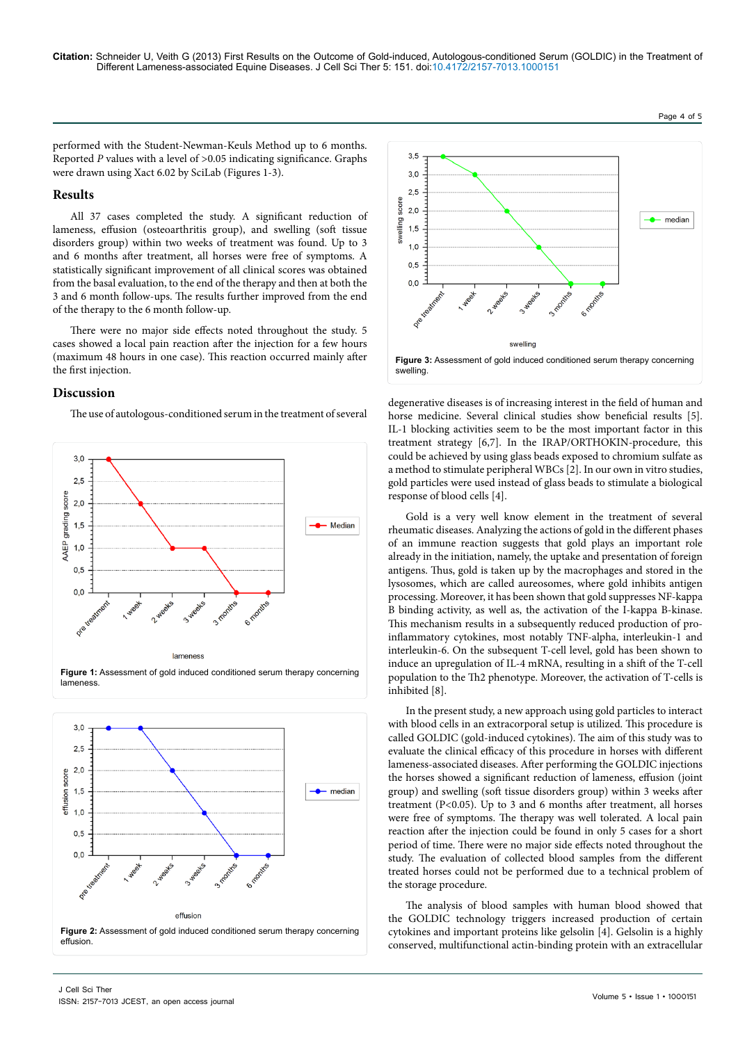**Citation:** Schneider U, Veith G (2013) First Results on the Outcome of Gold-induced, Autologous-conditioned Serum (GOLDIC) in the Treatment of Different Lameness-associated Equine Diseases. J Cell Sci Ther 5: 151. doi:[10.4172/2157-7013.1000](http://dx.doi.org/10.4172/2157-7013.1000151)151

Page 4 of 5

performed with the Student-Newman-Keuls Method up to 6 months. Reported *P* values with a level of >0.05 indicating significance. Graphs were drawn using Xact 6.02 by SciLab (Figures 1-3).

# **Results**

All 37 cases completed the study. A significant reduction of lameness, effusion (osteoarthritis group), and swelling (soft tissue disorders group) within two weeks of treatment was found. Up to 3 and 6 months after treatment, all horses were free of symptoms. A statistically significant improvement of all clinical scores was obtained from the basal evaluation, to the end of the therapy and then at both the 3 and 6 month follow-ups. The results further improved from the end of the therapy to the 6 month follow-up.

There were no major side effects noted throughout the study. 5 cases showed a local pain reaction after the injection for a few hours (maximum 48 hours in one case). This reaction occurred mainly after the first injection.

# **Discussion**

The use of autologous-conditioned serum in the treatment of several









degenerative diseases is of increasing interest in the field of human and horse medicine. Several clinical studies show beneficial results [5]. IL-1 blocking activities seem to be the most important factor in this treatment strategy [6,7]. In the IRAP/ORTHOKIN-procedure, this could be achieved by using glass beads exposed to chromium sulfate as a method to stimulate peripheral WBCs [2]. In our own in vitro studies, gold particles were used instead of glass beads to stimulate a biological response of blood cells [4].

Gold is a very well know element in the treatment of several rheumatic diseases. Analyzing the actions of gold in the different phases of an immune reaction suggests that gold plays an important role already in the initiation, namely, the uptake and presentation of foreign antigens. Thus, gold is taken up by the macrophages and stored in the lysosomes, which are called aureosomes, where gold inhibits antigen processing. Moreover, it has been shown that gold suppresses NF-kappa B binding activity, as well as, the activation of the I-kappa B-kinase. This mechanism results in a subsequently reduced production of proinflammatory cytokines, most notably TNF-alpha, interleukin-1 and interleukin-6. On the subsequent T-cell level, gold has been shown to induce an upregulation of IL-4 mRNA, resulting in a shift of the T-cell population to the Th2 phenotype. Moreover, the activation of T-cells is inhibited [8].

In the present study, a new approach using gold particles to interact with blood cells in an extracorporal setup is utilized. This procedure is called GOLDIC (gold-induced cytokines). The aim of this study was to evaluate the clinical efficacy of this procedure in horses with different lameness-associated diseases. After performing the GOLDIC injections the horses showed a significant reduction of lameness, effusion (joint group) and swelling (soft tissue disorders group) within 3 weeks after treatment (P<0.05). Up to 3 and 6 months after treatment, all horses were free of symptoms. The therapy was well tolerated. A local pain reaction after the injection could be found in only 5 cases for a short period of time. There were no major side effects noted throughout the study. The evaluation of collected blood samples from the different treated horses could not be performed due to a technical problem of the storage procedure.

The analysis of blood samples with human blood showed that the GOLDIC technology triggers increased production of certain cytokines and important proteins like gelsolin [4]. Gelsolin is a highly conserved, multifunctional actin-binding protein with an extracellular